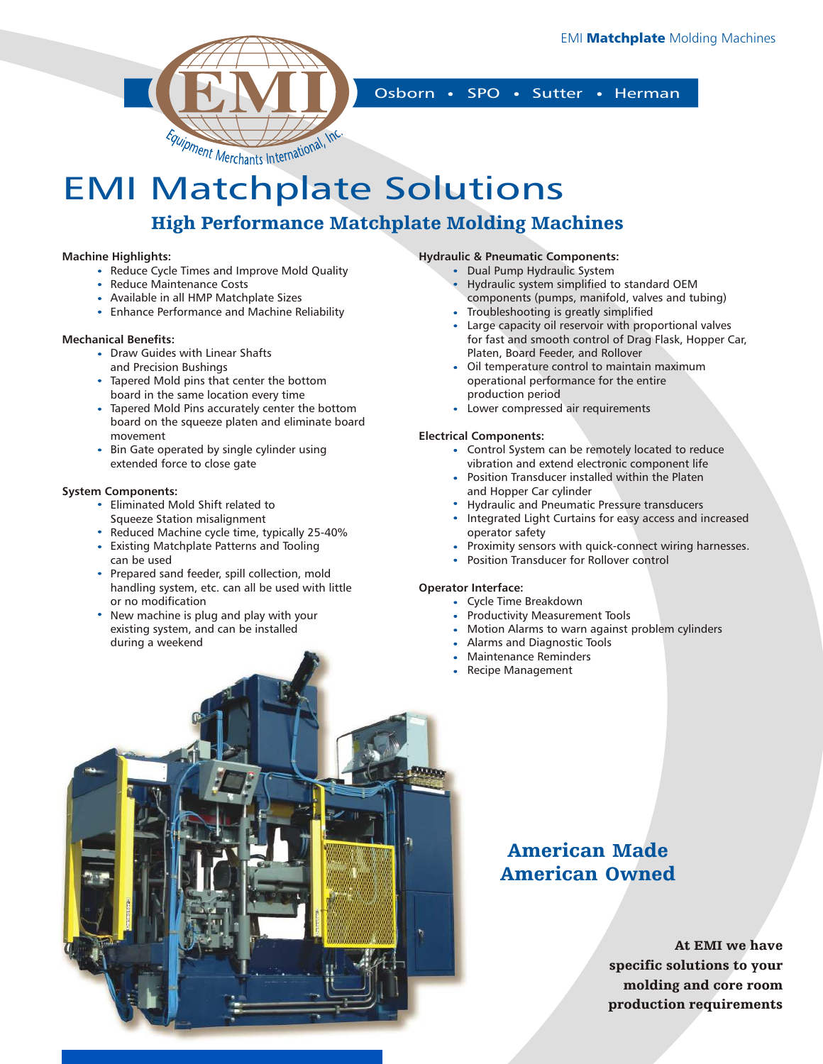

Osborn • SPO • Sutter • Herman

## EMI Matchplate Solutions High Performance Matchplate Molding Machines

#### **Machine Highlights:**

- Reduce Cycle Times and Improve Mold Quality
- Reduce Maintenance Costs
- Available in all HMP Matchplate Sizes
- Enhance Performance and Machine Reliability

#### **Mechanical Benefits:**

- Draw Guides with Linear Shafts and Precision Bushings
- Tapered Mold pins that center the bottom board in the same location every time
- Tapered Mold Pins accurately center the bottom board on the squeeze platen and eliminate board movement
- Bin Gate operated by single cylinder using extended force to close gate

#### **System Components:**

- Eliminated Mold Shift related to Squeeze Station misalignment
- Reduced Machine cycle time, typically 25-40%
- Existing Matchplate Patterns and Tooling can be used
- Prepared sand feeder, spill collection, mold handling system, etc. can all be used with little or no modification
- New machine is plug and play with your existing system, and can be installed during a weekend

### **Hydraulic & Pneumatic Components:**

- Dual Pump Hydraulic System
- Hydraulic system simplified to standard OEM components (pumps, manifold, valves and tubing)
- Troubleshooting is greatly simplified
- Large capacity oil reservoir with proportional valves for fast and smooth control of Drag Flask, Hopper Car, Platen, Board Feeder, and Rollover
- Oil temperature control to maintain maximum operational performance for the entire production period
- Lower compressed air requirements

#### **Electrical Components:**

- Control System can be remotely located to reduce vibration and extend electronic component life
- Position Transducer installed within the Platen and Hopper Car cylinder
- Hydraulic and Pneumatic Pressure transducers
- Integrated Light Curtains for easy access and increased operator safety
- Proximity sensors with quick-connect wiring harnesses.
- Position Transducer for Rollover control

#### **Operator Interface:**

- Cycle Time Breakdown
- Productivity Measurement Tools
- Motion Alarms to warn against problem cylinders
- Alarms and Diagnostic Tools
- Maintenance Reminders
- Recipe Management

### American Made American Owned

At EMI we have specific solutions to your molding and core room production requirements